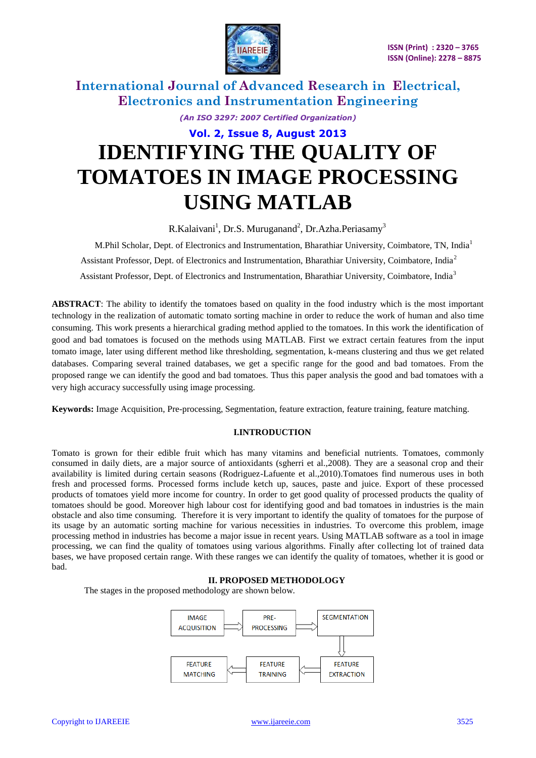

*(An ISO 3297: 2007 Certified Organization)*

# **Vol. 2, Issue 8, August 2013 IDENTIFYING THE QUALITY OF TOMATOES IN IMAGE PROCESSING USING MATLAB**

R.Kalaivani<sup>1</sup>, Dr.S. Muruganand<sup>2</sup>, Dr.Azha.Periasamy<sup>3</sup>

 M.Phil Scholar, Dept. of Electronics and Instrumentation, Bharathiar University, Coimbatore, TN, India<sup>1</sup> Assistant Professor, Dept. of Electronics and Instrumentation, Bharathiar University, Coimbatore, India<sup>2</sup> Assistant Professor, Dept. of Electronics and Instrumentation, Bharathiar University, Coimbatore, India<sup>3</sup>

**ABSTRACT**: The ability to identify the tomatoes based on quality in the food industry which is the most important technology in the realization of automatic tomato sorting machine in order to reduce the work of human and also time consuming. This work presents a hierarchical grading method applied to the tomatoes. In this work the identification of good and bad tomatoes is focused on the methods using MATLAB. First we extract certain features from the input tomato image, later using different method like thresholding, segmentation, k-means clustering and thus we get related databases. Comparing several trained databases, we get a specific range for the good and bad tomatoes. From the proposed range we can identify the good and bad tomatoes. Thus this paper analysis the good and bad tomatoes with a very high accuracy successfully using image processing.

**Keywords:** Image Acquisition, Pre-processing, Segmentation, feature extraction, feature training, feature matching.

### **I.INTRODUCTION**

Tomato is grown for their edible fruit which has many vitamins and beneficial nutrients. Tomatoes, commonly consumed in daily diets, are a major source of antioxidants (sgherri et al.,2008). They are a seasonal crop and their availability is limited during certain seasons (Rodriguez-Lafuente et al.,2010).Tomatoes find numerous uses in both fresh and processed forms. Processed forms include ketch up, sauces, paste and juice. Export of these processed products of tomatoes yield more income for country. In order to get good quality of processed products the quality of tomatoes should be good. Moreover high labour cost for identifying good and bad tomatoes in industries is the main obstacle and also time consuming. Therefore it is very important to identify the quality of tomatoes for the purpose of its usage by an automatic sorting machine for various necessities in industries. To overcome this problem, image processing method in industries has become a major issue in recent years. Using MATLAB software as a tool in image processing, we can find the quality of tomatoes using various algorithms. Finally after collecting lot of trained data bases, we have proposed certain range. With these ranges we can identify the quality of tomatoes, whether it is good or bad.

### **II. PROPOSED METHODOLOGY**

The stages in the proposed methodology are shown below.

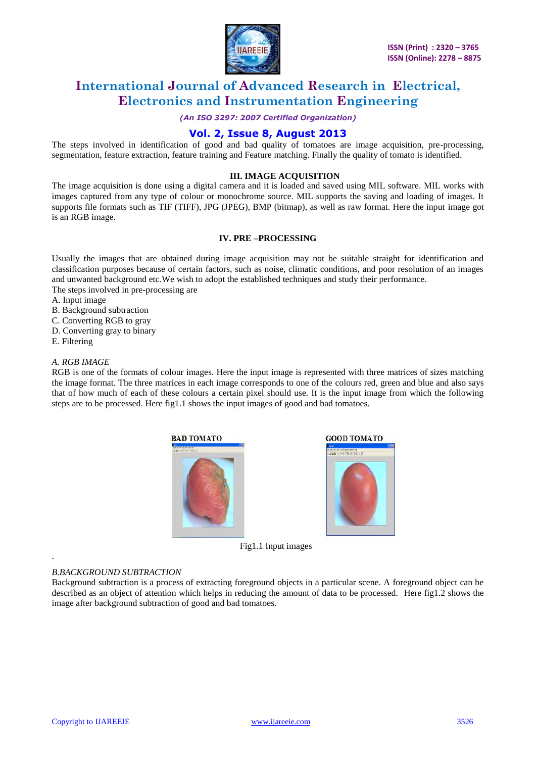

*(An ISO 3297: 2007 Certified Organization)*

### **Vol. 2, Issue 8, August 2013**

The steps involved in identification of good and bad quality of tomatoes are image acquisition, pre-processing, segmentation, feature extraction, feature training and Feature matching. Finally the quality of tomato is identified.

### **III. IMAGE ACQUISITION**

The image acquisition is done using a digital camera and it is loaded and saved using MIL software. MIL works with images captured from any type of colour or monochrome source. MIL supports the saving and loading of images. It supports file formats such as TIF (TIFF), JPG (JPEG), BMP (bitmap), as well as raw format. Here the input image got is an RGB image.

### **IV. PRE –PROCESSING**

Usually the images that are obtained during image acquisition may not be suitable straight for identification and classification purposes because of certain factors, such as noise, climatic conditions, and poor resolution of an images and unwanted background etc.We wish to adopt the established techniques and study their performance.

The steps involved in pre-processing are

- A. Input image
- B. Background subtraction
- C. Converting RGB to gray
- D. Converting gray to binary
- E. Filtering

.

#### *A. RGB IMAGE*

RGB is one of the formats of colour images. Here the input image is represented with three matrices of sizes matching the image format. The three matrices in each image corresponds to one of the colours red, green and blue and also says that of how much of each of these colours a certain pixel should use. It is the input image from which the following steps are to be processed. Here fig1.1 shows the input images of good and bad tomatoes.



Fig1.1 Input images

#### *B.BACKGROUND SUBTRACTION*

Background subtraction is a process of extracting foreground objects in a particular scene. A foreground object can be described as an object of attention which helps in reducing the amount of data to be processed. Here fig1.2 shows the image after background subtraction of good and bad tomatoes.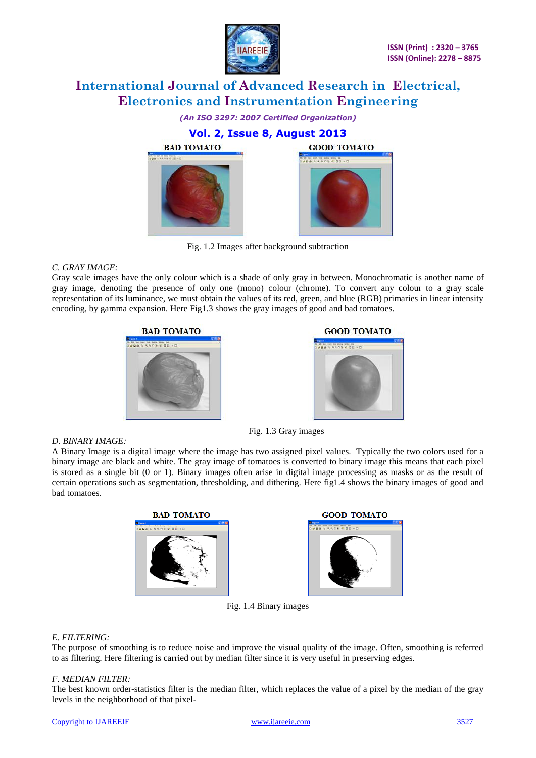



Fig. 1.2 Images after background subtraction

### *C. GRAY IMAGE:*

*D. BINARY IMAGE:* 

Gray scale images have the only colour which is a shade of only gray in between. Monochromatic is another name of gray image, denoting the presence of only one (mono) colour (chrome). To convert any colour to a gray scale representation of its luminance, we must obtain the values of its red, green, and blue (RGB) primaries in linear intensity encoding, by gamma expansion. Here Fig1.3 shows the gray images of good and bad tomatoes.





### Fig. 1.3 Gray images

A Binary Image is a digital image where the image has two assigned pixel values. Typically the two colors used for a binary image are black and white. The gray image of tomatoes is converted to binary image this means that each pixel is stored as a single bit (0 or 1). Binary images often arise in digital image processing as masks or as the result of certain operations such as segmentation, thresholding, and dithering. Here fig1.4 shows the binary images of good and bad tomatoes.





Fig. 1.4 Binary images

### *E. FILTERING:*

The purpose of smoothing is to reduce noise and improve the visual quality of the image. Often, smoothing is referred to as filtering. Here filtering is carried out by median filter since it is very useful in preserving edges.

### *F. MEDIAN FILTER:*

The best known order-statistics filter is the median filter, which replaces the value of a pixel by the median of the gray levels in the neighborhood of that pixel-

#### Copyright to IJAREEIE [www.ijareeie.com](http://www.ijareeie.com/) 3527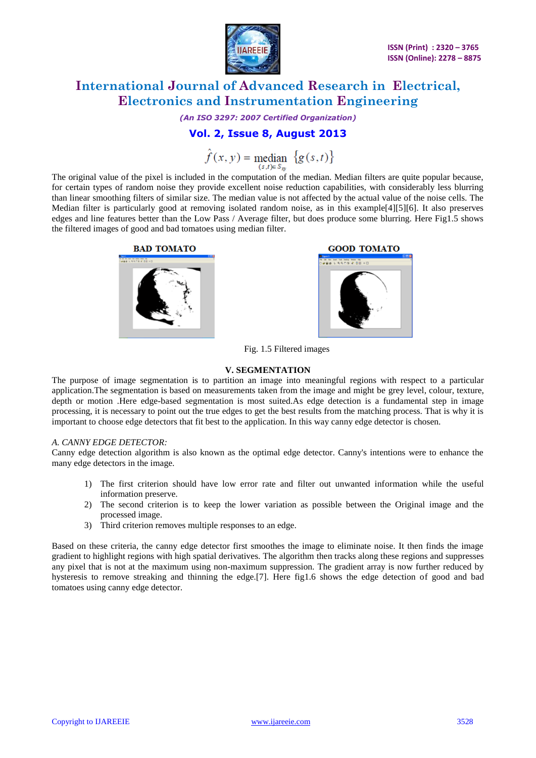

*(An ISO 3297: 2007 Certified Organization)*

### **Vol. 2, Issue 8, August 2013**

 $\hat{f}(x, y)$  = median  $\{g(s,t)\}\$ 

The original value of the pixel is included in the computation of the median. Median filters are quite popular because, for certain types of random noise they provide excellent noise reduction capabilities, with considerably less blurring than linear smoothing filters of similar size. The median value is not affected by the actual value of the noise cells. The Median filter is particularly good at removing isolated random noise, as in this example[4][5][6]. It also preserves edges and line features better than the Low Pass / Average filter, but does produce some blurring. Here Fig1.5 shows the filtered images of good and bad tomatoes using median filter.





Fig. 1.5 Filtered images

### **V. SEGMENTATION**

The purpose of image segmentation is to partition an image into meaningful regions with respect to a particular application.The segmentation is based on measurements taken from the image and might be grey level, colour, texture, depth or motion .Here edge-based segmentation is most suited.As edge detection is a fundamental step in image processing, it is necessary to point out the true edges to get the best results from the matching process. That is why it is important to choose edge detectors that fit best to the application. In this way canny edge detector is chosen.

### *A. CANNY EDGE DETECTOR:*

Canny edge detection algorithm is also known as the optimal edge detector. Canny's intentions were to enhance the many edge detectors in the image.

- 1) The first criterion should have low error rate and filter out unwanted information while the useful information preserve.
- 2) The second criterion is to keep the lower variation as possible between the Original image and the processed image.
- 3) Third criterion removes multiple responses to an edge.

Based on these criteria, the canny edge detector first smoothes the image to eliminate noise. It then finds the image gradient to highlight regions with high spatial derivatives. The algorithm then tracks along these regions and suppresses any pixel that is not at the maximum using non-maximum suppression. The gradient array is now further reduced by hysteresis to remove streaking and thinning the edge.[7]. Here fig1.6 shows the edge detection of good and bad tomatoes using canny edge detector.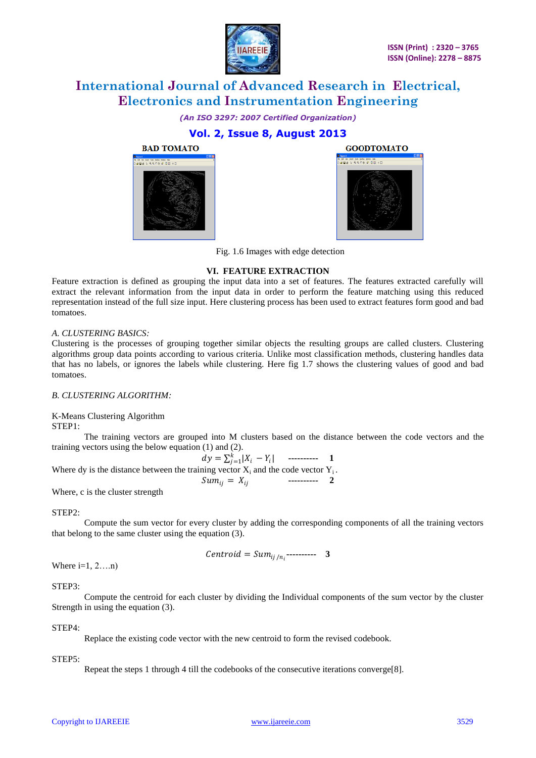

*(An ISO 3297: 2007 Certified Organization)*

### **Vol. 2, Issue 8, August 2013**





Fig. 1.6 Images with edge detection

### **VI. FEATURE EXTRACTION**

Feature extraction is defined as grouping the input data into a set of features. The features extracted carefully will extract the relevant information from the input data in order to perform the feature matching using this reduced representation instead of the full size input. Here clustering process has been used to extract features form good and bad tomatoes.

### *A. CLUSTERING BASICS:*

Clustering is the processes of grouping together similar objects the resulting groups are called clusters. Clustering algorithms group data points according to various criteria. Unlike most classification methods, clustering handles data that has no labels, or ignores the labels while clustering. Here fig 1.7 shows the clustering values of good and bad tomatoes.

### *B. CLUSTERING ALGORITHM:*

K-Means Clustering Algorithm

STEP1:

The training vectors are grouped into M clusters based on the distance between the code vectors and the training vectors using the below equation (1) and (2).

$$
dy = \sum_{j=1}^{k} |X_i - Y_i|
$$
 1  
Where dy is the distance between the training vector  $X_i$  and the code vector  $Y_i$ .  

$$
Sum_{ij} = X_{ij}
$$
 2

Where, c is the cluster strength

STEP2:

Compute the sum vector for every cluster by adding the corresponding components of all the training vectors that belong to the same cluster using the equation (3).

$$
Centroid = Sum_{ij/n_i}
$$
----- 3

Where  $i=1, 2,...n$ )

### STEP3:

Compute the centroid for each cluster by dividing the Individual components of the sum vector by the cluster Strength in using the equation (3).

### STEP4:

Replace the existing code vector with the new centroid to form the revised codebook.

### STEP5:

Repeat the steps 1 through 4 till the codebooks of the consecutive iterations converge[8].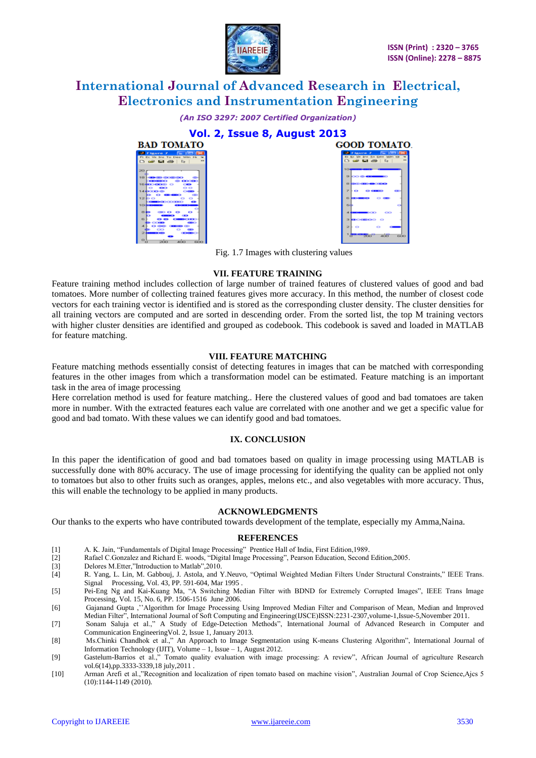

*(An ISO 3297: 2007 Certified Organization)*





Fig. 1.7 Images with clustering values

#### **VII. FEATURE TRAINING**

Feature training method includes collection of large number of trained features of clustered values of good and bad tomatoes. More number of collecting trained features gives more accuracy. In this method, the number of closest code vectors for each training vector is identified and is stored as the corresponding cluster density. The cluster densities for all training vectors are computed and are sorted in descending order. From the sorted list, the top M training vectors with higher cluster densities are identified and grouped as codebook. This codebook is saved and loaded in MATLAB for feature matching.

### **VIII. FEATURE MATCHING**

Feature matching methods essentially consist of detecting features in images that can be matched with corresponding features in the other images from which a transformation model can be estimated. Feature matching is an important task in the area of image processing

Here correlation method is used for feature matching.. Here the clustered values of good and bad tomatoes are taken more in number. With the extracted features each value are correlated with one another and we get a specific value for good and bad tomato. With these values we can identify good and bad tomatoes.

#### **IX. CONCLUSION**

In this paper the identification of good and bad tomatoes based on quality in image processing using MATLAB is successfully done with 80% accuracy. The use of image processing for identifying the quality can be applied not only to tomatoes but also to other fruits such as oranges, apples, melons etc., and also vegetables with more accuracy. Thus, this will enable the technology to be applied in many products.

### **ACKNOWLEDGMENTS**

Our thanks to the experts who have contributed towards development of the template, especially my Amma,Naina.

### **REFERENCES**

- [1] A. K. Jain, "Fundamentals of Digital Image Processing" Prentice Hall of India, First Edition,1989.
- [2] Rafael C.Gonzalez and Richard E. woods, "Digital Image Processing", Pearson Education, Second Edition,2005.
- [3] Delores M.Etter,"Introduction to Matlab",2010.
- [4] R. Yang, L. Lin, M. Gabbouj, J. Astola, and Y.Neuvo, "Optimal Weighted Median Filters Under Structural Constraints," IEEE Trans. Signal Processing, Vol. 43, PP. 591-604, Mar 1995 .
- [5] Pei-Eng Ng and Kai-Kuang Ma, "A Switching Median Filter with BDND for Extremely Corrupted Images", IEEE Trans Image Processing, Vol. 15, No. 6, PP. 1506-1516 June 2006.
- [6] Gajanand Gupta ,''Algorithm for Image Processing Using Improved Median Filter and Comparison of Mean, Median and Improved Median Filter", International Journal of Soft Computing and Engineering(IJSCE)ISSN:2231-2307,volume-1,Issue-5,November 2011.
- [7] Sonam Saluja et al.," A Study of Edge-Detection Methods", International Journal of Advanced Research in Computer and Communication EngineeringVol. 2, Issue 1, January 2013.
- [8] Ms.Chinki Chandhok et al.," An Approach to Image Segmentation using K-means Clustering Algorithm", International Journal of Information Technology (IJIT), Volume – 1, Issue – 1, August 2012.
- [9] Gastelum-Barrios et al.," Tomato quality evaluation with image processing: A review", African Journal of agriculture Research vol.6(14),pp.3333-3339,18 july,2011
- [10] Arman Arefi et al.,"Recognition and localization of ripen tomato based on machine vision", Australian Journal of Crop Science,Ajcs 5 (10):1144-1149 (2010).